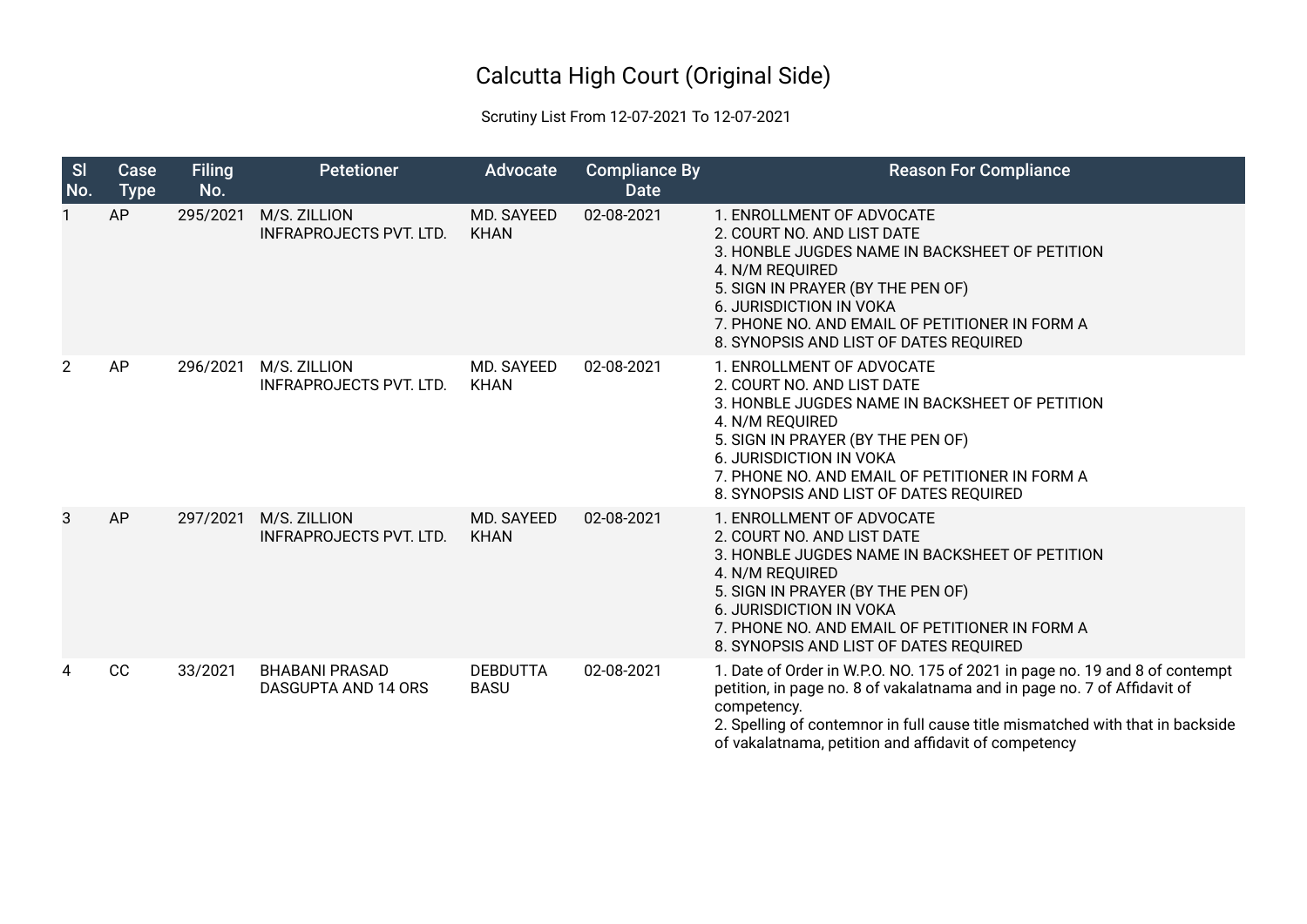## Calcutta High Court (Original Side)

## Scrutiny List From 12-07-2021 To 12-07-2021

| <b>SI</b><br>No. | Case<br><b>Type</b> | <b>Filing</b><br>No. | <b>Petetioner</b>                              | Advocate                       | <b>Compliance By</b><br><b>Date</b> | <b>Reason For Compliance</b>                                                                                                                                                                                                                                                                                    |
|------------------|---------------------|----------------------|------------------------------------------------|--------------------------------|-------------------------------------|-----------------------------------------------------------------------------------------------------------------------------------------------------------------------------------------------------------------------------------------------------------------------------------------------------------------|
|                  | AP                  | 295/2021             | M/S. ZILLION<br><b>INFRAPROJECTS PVT. LTD.</b> | MD. SAYEED<br><b>KHAN</b>      | 02-08-2021                          | 1. ENROLLMENT OF ADVOCATE<br>2. COURT NO. AND LIST DATE<br>3. HONBLE JUGDES NAME IN BACKSHEET OF PETITION<br>4. N/M REQUIRED<br>5. SIGN IN PRAYER (BY THE PEN OF)<br><b>6. JURISDICTION IN VOKA</b><br>7. PHONE NO. AND EMAIL OF PETITIONER IN FORM A<br>8. SYNOPSIS AND LIST OF DATES REQUIRED                 |
| $\overline{2}$   | AP                  | 296/2021             | M/S. ZILLION<br><b>INFRAPROJECTS PVT. LTD.</b> | MD. SAYEED<br><b>KHAN</b>      | 02-08-2021                          | 1. ENROLLMENT OF ADVOCATE<br>2. COURT NO. AND LIST DATE<br>3. HONBLE JUGDES NAME IN BACKSHEET OF PETITION<br>4. N/M REQUIRED<br>5. SIGN IN PRAYER (BY THE PEN OF)<br><b>6. JURISDICTION IN VOKA</b><br>7. PHONE NO. AND EMAIL OF PETITIONER IN FORM A<br>8. SYNOPSIS AND LIST OF DATES REQUIRED                 |
| 3                | AP                  | 297/2021             | M/S. ZILLION<br><b>INFRAPROJECTS PVT. LTD.</b> | MD. SAYEED<br><b>KHAN</b>      | 02-08-2021                          | 1. ENROLLMENT OF ADVOCATE<br>2. COURT NO. AND LIST DATE<br>3. HONBLE JUGDES NAME IN BACKSHEET OF PETITION<br>4. N/M REQUIRED<br>5. SIGN IN PRAYER (BY THE PEN OF)<br>6. JURISDICTION IN VOKA<br>7. PHONE NO. AND EMAIL OF PETITIONER IN FORM A<br>8. SYNOPSIS AND LIST OF DATES REQUIRED                        |
| 4                | CC                  | 33/2021              | <b>BHABANI PRASAD</b><br>DASGUPTA AND 14 ORS   | <b>DEBDUTTA</b><br><b>BASU</b> | 02-08-2021                          | 1. Date of Order in W.P.O. NO. 175 of 2021 in page no. 19 and 8 of contempt<br>petition, in page no. 8 of vakalatnama and in page no. 7 of Affidavit of<br>competency.<br>2. Spelling of contemnor in full cause title mismatched with that in backside<br>of vakalatnama, petition and affidavit of competency |